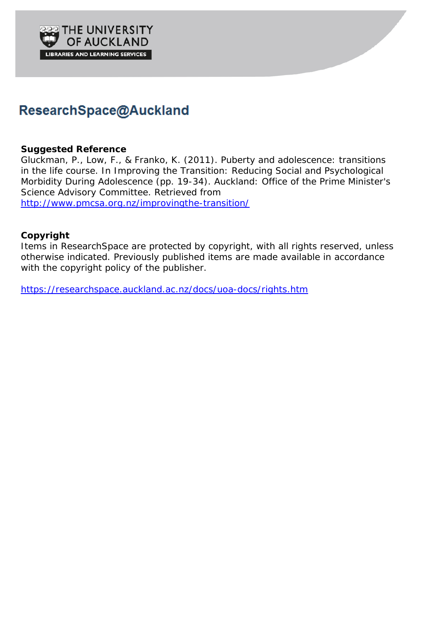

## ResearchSpace@Auckland

### **Suggested Reference**

Gluckman, P., Low, F., & Franko, K. (2011). Puberty and adolescence: transitions in the life course. In *Improving the Transition: Reducing Social and Psychological Morbidity During Adolescence* (pp. 19-34). Auckland: Office of the Prime Minister's Science Advisory Committee. Retrieved from <http://www.pmcsa.org.nz/improvingthe-transition/>

## **Copyright**

Items in ResearchSpace are protected by copyright, with all rights reserved, unless otherwise indicated. Previously published items are made available in accordance with the copyright policy of the publisher.

<https://researchspace.auckland.ac.nz/docs/uoa-docs/rights.htm>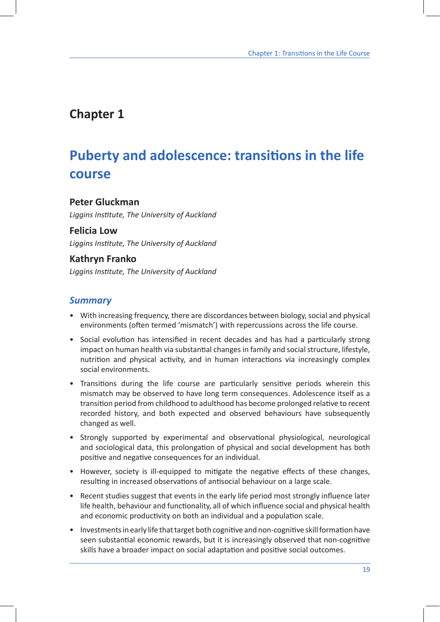## **Chapter 1**

# **Puberty and adolescence: transitions in the life course**

### **Peter Gluckman**

*Liggins Institute, The University of Auckland*

#### **Felicia Low**

*Liggins Institute, The University of Auckland*

## **Kathryn Franko**

*Liggins Institute, The University of Auckland*

## *Summary*

- With increasing frequency, there are discordances between biology, social and physical environments (often termed 'mismatch') with repercussions across the life course.
- Social evolution has intensified in recent decades and has had a particularly strong impact on human health via substantial changes in family and social structure, lifestyle, nutrition and physical activity, and in human interactions via increasingly complex social environments.
- Transitions during the life course are particularly sensitive periods wherein this mismatch may be observed to have long term consequences. Adolescence itself as a transition period from childhood to adulthood has become prolonged relative to recent recorded history, and both expected and observed behaviours have subsequently changed as well.
- Strongly supported by experimental and observational physiological, neurological and sociological data, this prolongation of physical and social development has both positive and negative consequences for an individual.
- However, society is ill-equipped to mitigate the negative effects of these changes, resulting in increased observations of antisocial behaviour on a large scale.
- Recent studies suggest that events in the early life period most strongly influence later life health, behaviour and functionality, all of which influence social and physical health and economic productivity on both an individual and a population scale.
- Investments in early life that target both cognitive and non-cognitive skill formation have seen substantial economic rewards, but it is increasingly observed that non-cognitive skills have a broader impact on social adaptation and positive social outcomes.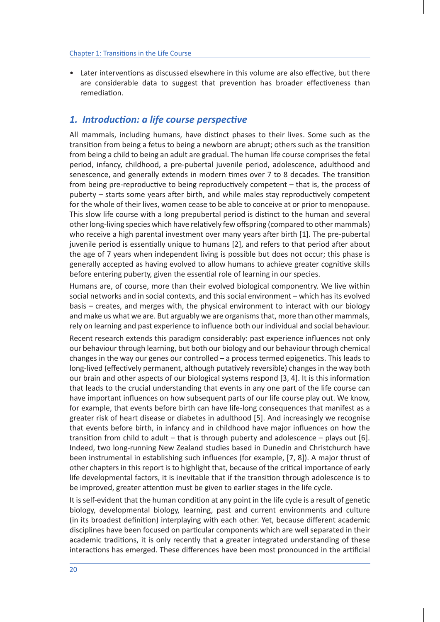• Later interventions as discussed elsewhere in this volume are also effective, but there are considerable data to suggest that prevention has broader effectiveness than remediation.

## *1. Introduction: a life course perspective*

All mammals, including humans, have distinct phases to their lives. Some such as the transition from being a fetus to being a newborn are abrupt; others such as the transition from being a child to being an adult are gradual. The human life course comprises the fetal period, infancy, childhood, a pre-pubertal juvenile period, adolescence, adulthood and senescence, and generally extends in modern times over 7 to 8 decades. The transition from being pre-reproductive to being reproductively competent – that is, the process of puberty – starts some years after birth, and while males stay reproductively competent for the whole of their lives, women cease to be able to conceive at or prior to menopause. This slow life course with a long prepubertal period is distinct to the human and several other long-living species which have relatively few offspring (compared to other mammals) who receive a high parental investment over many years after birth [1]. The pre-pubertal juvenile period is essentially unique to humans [2], and refers to that period after about the age of 7 years when independent living is possible but does not occur; this phase is generally accepted as having evolved to allow humans to achieve greater cognitive skills before entering puberty, given the essential role of learning in our species.

Humans are, of course, more than their evolved biological componentry. We live within social networks and in social contexts, and this social environment – which has its evolved basis – creates, and merges with, the physical environment to interact with our biology and make us what we are. But arguably we are organisms that, more than other mammals, rely on learning and past experience to influence both our individual and social behaviour.

Recent research extends this paradigm considerably: past experience influences not only our behaviour through learning, but both our biology and our behaviour through chemical changes in the way our genes our controlled – a process termed epigenetics. This leads to long-lived (effectively permanent, although putatively reversible) changes in the way both our brain and other aspects of our biological systems respond [3, 4]. It is this information that leads to the crucial understanding that events in any one part of the life course can have important influences on how subsequent parts of our life course play out. We know, for example, that events before birth can have life-long consequences that manifest as a greater risk of heart disease or diabetes in adulthood [5]. And increasingly we recognise that events before birth, in infancy and in childhood have major influences on how the transition from child to adult – that is through puberty and adolescence – plays out [6]. Indeed, two long-running New Zealand studies based in Dunedin and Christchurch have been instrumental in establishing such influences (for example, [7, 8]). A major thrust of other chapters in this report is to highlight that, because of the critical importance of early life developmental factors, it is inevitable that if the transition through adolescence is to be improved, greater attention must be given to earlier stages in the life cycle.

It is self-evident that the human condition at any point in the life cycle is a result of genetic biology, developmental biology, learning, past and current environments and culture (in its broadest definition) interplaying with each other. Yet, because different academic disciplines have been focused on particular components which are well separated in their academic traditions, it is only recently that a greater integrated understanding of these interactions has emerged. These differences have been most pronounced in the artificial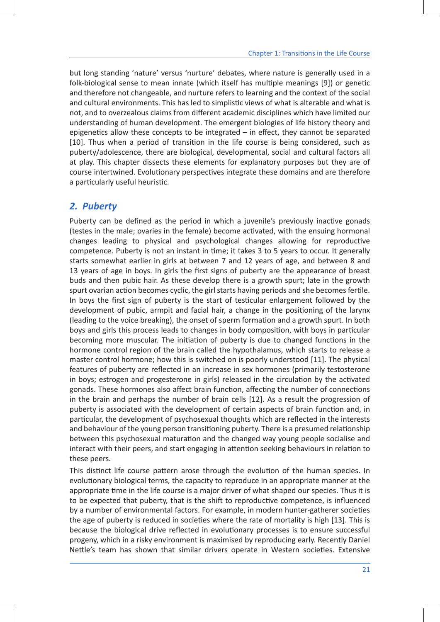but long standing 'nature' versus 'nurture' debates, where nature is generally used in a folk-biological sense to mean innate (which itself has multiple meanings [9]) or genetic and therefore not changeable, and nurture refers to learning and the context of the social and cultural environments. This has led to simplistic views of what is alterable and what is not, and to overzealous claims from different academic disciplines which have limited our understanding of human development. The emergent biologies of life history theory and epigenetics allow these concepts to be integrated – in effect, they cannot be separated [10]. Thus when a period of transition in the life course is being considered, such as puberty/adolescence, there are biological, developmental, social and cultural factors all at play. This chapter dissects these elements for explanatory purposes but they are of course intertwined. Evolutionary perspectives integrate these domains and are therefore a particularly useful heuristic.

## *2. Puberty*

Puberty can be defined as the period in which a juvenile's previously inactive gonads (testes in the male; ovaries in the female) become activated, with the ensuing hormonal changes leading to physical and psychological changes allowing for reproductive competence. Puberty is not an instant in time; it takes 3 to 5 years to occur. It generally starts somewhat earlier in girls at between 7 and 12 years of age, and between 8 and 13 years of age in boys. In girls the first signs of puberty are the appearance of breast buds and then pubic hair. As these develop there is a growth spurt; late in the growth spurt ovarian action becomes cyclic, the girl starts having periods and she becomes fertile. In boys the first sign of puberty is the start of testicular enlargement followed by the development of pubic, armpit and facial hair, a change in the positioning of the larynx (leading to the voice breaking), the onset of sperm formation and a growth spurt. In both boys and girls this process leads to changes in body composition, with boys in particular becoming more muscular. The initiation of puberty is due to changed functions in the hormone control region of the brain called the hypothalamus, which starts to release a master control hormone; how this is switched on is poorly understood [11]. The physical features of puberty are reflected in an increase in sex hormones (primarily testosterone in boys; estrogen and progesterone in girls) released in the circulation by the activated gonads. These hormones also affect brain function, affecting the number of connections in the brain and perhaps the number of brain cells [12]. As a result the progression of puberty is associated with the development of certain aspects of brain function and, in particular, the development of psychosexual thoughts which are reflected in the interests and behaviour of the young person transitioning puberty. There is a presumed relationship between this psychosexual maturation and the changed way young people socialise and interact with their peers, and start engaging in attention seeking behaviours in relation to these peers.

This distinct life course pattern arose through the evolution of the human species. In evolutionary biological terms, the capacity to reproduce in an appropriate manner at the appropriate time in the life course is a major driver of what shaped our species. Thus it is to be expected that puberty, that is the shift to reproductive competence, is influenced by a number of environmental factors. For example, in modern hunter-gatherer societies the age of puberty is reduced in societies where the rate of mortality is high [13]. This is because the biological drive reflected in evolutionary processes is to ensure successful progeny, which in a risky environment is maximised by reproducing early. Recently Daniel Nettle's team has shown that similar drivers operate in Western societies. Extensive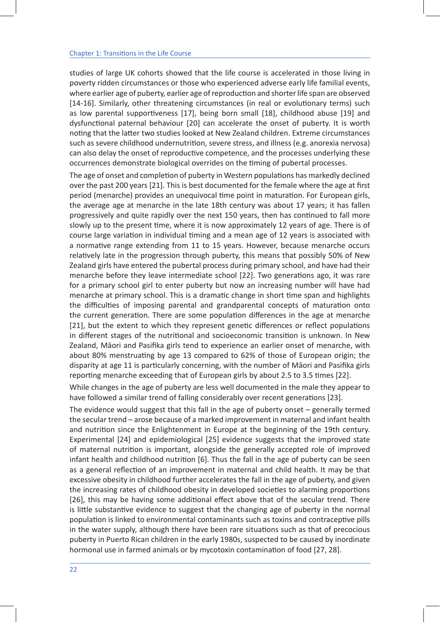studies of large UK cohorts showed that the life course is accelerated in those living in poverty ridden circumstances or those who experienced adverse early life familial events, where earlier age of puberty, earlier age of reproduction and shorter life span are observed [14-16]. Similarly, other threatening circumstances (in real or evolutionary terms) such as low parental supportiveness [17], being born small [18], childhood abuse [19] and dysfunctional paternal behaviour [20] can accelerate the onset of puberty. It is worth noting that the latter two studies looked at New Zealand children. Extreme circumstances such as severe childhood undernutrition, severe stress, and illness (e.g. anorexia nervosa) can also delay the onset of reproductive competence, and the processes underlying these occurrences demonstrate biological overrides on the timing of pubertal processes.

The age of onset and completion of puberty in Western populations has markedly declined over the past 200 years [21]. This is best documented for the female where the age at first period (menarche) provides an unequivocal time point in maturation. For European girls, the average age at menarche in the late 18th century was about 17 years; it has fallen progressively and quite rapidly over the next 150 years, then has continued to fall more slowly up to the present time, where it is now approximately 12 years of age. There is of course large variation in individual timing and a mean age of 12 years is associated with a normative range extending from 11 to 15 years. However, because menarche occurs relatively late in the progression through puberty, this means that possibly 50% of New Zealand girls have entered the pubertal process during primary school, and have had their menarche before they leave intermediate school [22]. Two generations ago, it was rare for a primary school girl to enter puberty but now an increasing number will have had menarche at primary school. This is a dramatic change in short time span and highlights the difficulties of imposing parental and grandparental concepts of maturation onto the current generation. There are some population differences in the age at menarche [21], but the extent to which they represent genetic differences or reflect populations in different stages of the nutritional and socioeconomic transition is unknown. In New Zealand, Māori and Pasifika girls tend to experience an earlier onset of menarche, with about 80% menstruating by age 13 compared to 62% of those of European origin; the disparity at age 11 is particularly concerning, with the number of Māori and Pasifika girls reporting menarche exceeding that of European girls by about 2.5 to 3.5 times [22].

While changes in the age of puberty are less well documented in the male they appear to have followed a similar trend of falling considerably over recent generations [23].

The evidence would suggest that this fall in the age of puberty onset – generally termed the secular trend – arose because of a marked improvement in maternal and infant health and nutrition since the Enlightenment in Europe at the beginning of the 19th century. Experimental [24] and epidemiological [25] evidence suggests that the improved state of maternal nutrition is important, alongside the generally accepted role of improved infant health and childhood nutrition [6]. Thus the fall in the age of puberty can be seen as a general reflection of an improvement in maternal and child health. It may be that excessive obesity in childhood further accelerates the fall in the age of puberty, and given the increasing rates of childhood obesity in developed societies to alarming proportions [26], this may be having some additional effect above that of the secular trend. There is little substantive evidence to suggest that the changing age of puberty in the normal population is linked to environmental contaminants such as toxins and contraceptive pills in the water supply, although there have been rare situations such as that of precocious puberty in Puerto Rican children in the early 1980s, suspected to be caused by inordinate hormonal use in farmed animals or by mycotoxin contamination of food [27, 28].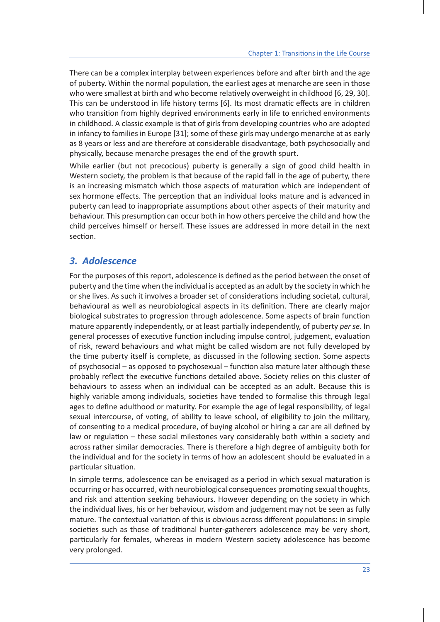There can be a complex interplay between experiences before and after birth and the age of puberty. Within the normal population, the earliest ages at menarche are seen in those who were smallest at birth and who become relatively overweight in childhood [6, 29, 30]. This can be understood in life history terms [6]. Its most dramatic effects are in children who transition from highly deprived environments early in life to enriched environments in childhood. A classic example is that of girls from developing countries who are adopted in infancy to families in Europe [31]; some of these girls may undergo menarche at as early as 8 years or less and are therefore at considerable disadvantage, both psychosocially and physically, because menarche presages the end of the growth spurt.

While earlier (but not precocious) puberty is generally a sign of good child health in Western society, the problem is that because of the rapid fall in the age of puberty, there is an increasing mismatch which those aspects of maturation which are independent of sex hormone effects. The perception that an individual looks mature and is advanced in puberty can lead to inappropriate assumptions about other aspects of their maturity and behaviour. This presumption can occur both in how others perceive the child and how the child perceives himself or herself. These issues are addressed in more detail in the next section.

## *3. Adolescence*

For the purposes of this report, adolescence is defined as the period between the onset of puberty and the time when the individual is accepted as an adult by the society in which he or she lives. As such it involves a broader set of considerations including societal, cultural, behavioural as well as neurobiological aspects in its definition. There are clearly major biological substrates to progression through adolescence. Some aspects of brain function mature apparently independently, or at least partially independently, of puberty *per se*. In general processes of executive function including impulse control, judgement, evaluation of risk, reward behaviours and what might be called wisdom are not fully developed by the time puberty itself is complete, as discussed in the following section. Some aspects of psychosocial – as opposed to psychosexual – function also mature later although these probably reflect the executive functions detailed above. Society relies on this cluster of behaviours to assess when an individual can be accepted as an adult. Because this is highly variable among individuals, societies have tended to formalise this through legal ages to define adulthood or maturity. For example the age of legal responsibility, of legal sexual intercourse, of voting, of ability to leave school, of eligibility to join the military, of consenting to a medical procedure, of buying alcohol or hiring a car are all defined by law or regulation – these social milestones vary considerably both within a society and across rather similar democracies. There is therefore a high degree of ambiguity both for the individual and for the society in terms of how an adolescent should be evaluated in a particular situation.

In simple terms, adolescence can be envisaged as a period in which sexual maturation is occurring or has occurred, with neurobiological consequences promoting sexual thoughts, and risk and attention seeking behaviours. However depending on the society in which the individual lives, his or her behaviour, wisdom and judgement may not be seen as fully mature. The contextual variation of this is obvious across different populations: in simple societies such as those of traditional hunter-gatherers adolescence may be very short, particularly for females, whereas in modern Western society adolescence has become very prolonged.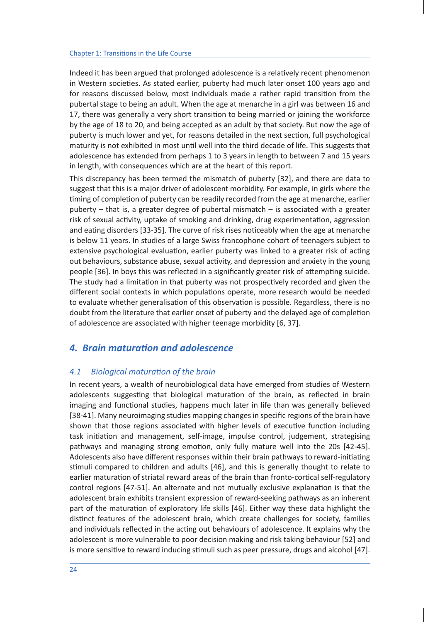Indeed it has been argued that prolonged adolescence is a relatively recent phenomenon in Western societies. As stated earlier, puberty had much later onset 100 years ago and for reasons discussed below, most individuals made a rather rapid transition from the pubertal stage to being an adult. When the age at menarche in a girl was between 16 and 17, there was generally a very short transition to being married or joining the workforce by the age of 18 to 20, and being accepted as an adult by that society. But now the age of puberty is much lower and yet, for reasons detailed in the next section, full psychological maturity is not exhibited in most until well into the third decade of life. This suggests that adolescence has extended from perhaps 1 to 3 years in length to between 7 and 15 years in length, with consequences which are at the heart of this report.

This discrepancy has been termed the mismatch of puberty [32], and there are data to suggest that this is a major driver of adolescent morbidity. For example, in girls where the timing of completion of puberty can be readily recorded from the age at menarche, earlier puberty – that is, a greater degree of pubertal mismatch – is associated with a greater risk of sexual activity, uptake of smoking and drinking, drug experimentation, aggression and eating disorders [33-35]. The curve of risk rises noticeably when the age at menarche is below 11 years. In studies of a large Swiss francophone cohort of teenagers subject to extensive psychological evaluation, earlier puberty was linked to a greater risk of acting out behaviours, substance abuse, sexual activity, and depression and anxiety in the young people [36]. In boys this was reflected in a significantly greater risk of attempting suicide. The study had a limitation in that puberty was not prospectively recorded and given the different social contexts in which populations operate, more research would be needed to evaluate whether generalisation of this observation is possible. Regardless, there is no doubt from the literature that earlier onset of puberty and the delayed age of completion of adolescence are associated with higher teenage morbidity [6, 37].

## *4. Brain maturation and adolescence*

#### *4.1 Biological maturation of the brain*

In recent years, a wealth of neurobiological data have emerged from studies of Western adolescents suggesting that biological maturation of the brain, as reflected in brain imaging and functional studies, happens much later in life than was generally believed [38-41]. Many neuroimaging studies mapping changes in specific regions of the brain have shown that those regions associated with higher levels of executive function including task initiation and management, self-image, impulse control, judgement, strategising pathways and managing strong emotion, only fully mature well into the 20s [42-45]. Adolescents also have different responses within their brain pathways to reward-initiating stimuli compared to children and adults [46], and this is generally thought to relate to earlier maturation of striatal reward areas of the brain than fronto-cortical self-regulatory control regions [47-51]. An alternate and not mutually exclusive explanation is that the adolescent brain exhibits transient expression of reward-seeking pathways as an inherent part of the maturation of exploratory life skills [46]. Either way these data highlight the distinct features of the adolescent brain, which create challenges for society, families and individuals reflected in the acting out behaviours of adolescence. It explains why the adolescent is more vulnerable to poor decision making and risk taking behaviour [52] and is more sensitive to reward inducing stimuli such as peer pressure, drugs and alcohol [47].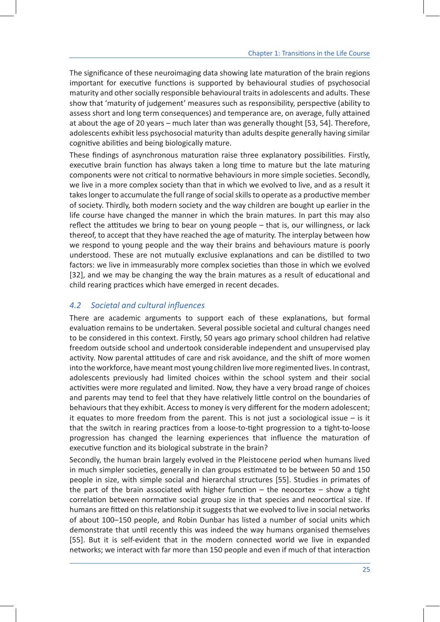The significance of these neuroimaging data showing late maturation of the brain regions important for executive functions is supported by behavioural studies of psychosocial maturity and other socially responsible behavioural traits in adolescents and adults. These show that 'maturity of judgement' measures such as responsibility, perspective (ability to assess short and long term consequences) and temperance are, on average, fully attained at about the age of 20 years – much later than was generally thought [53, 54]. Therefore, adolescents exhibit less psychosocial maturity than adults despite generally having similar cognitive abilities and being biologically mature.

These findings of asynchronous maturation raise three explanatory possibilities. Firstly, executive brain function has always taken a long time to mature but the late maturing components were not critical to normative behaviours in more simple societies. Secondly, we live in a more complex society than that in which we evolved to live, and as a result it takes longer to accumulate the full range of social skills to operate as a productive member of society. Thirdly, both modern society and the way children are bought up earlier in the life course have changed the manner in which the brain matures. In part this may also reflect the attitudes we bring to bear on young people – that is, our willingness, or lack thereof, to accept that they have reached the age of maturity. The interplay between how we respond to young people and the way their brains and behaviours mature is poorly understood. These are not mutually exclusive explanations and can be distilled to two factors: we live in immeasurably more complex societies than those in which we evolved [32], and we may be changing the way the brain matures as a result of educational and child rearing practices which have emerged in recent decades.

## *4.2 Societal and cultural influences*

There are academic arguments to support each of these explanations, but formal evaluation remains to be undertaken. Several possible societal and cultural changes need to be considered in this context. Firstly, 50 years ago primary school children had relative freedom outside school and undertook considerable independent and unsupervised play activity. Now parental attitudes of care and risk avoidance, and the shift of more women into the workforce, have meant most young children live more regimented lives. In contrast, adolescents previously had limited choices within the school system and their social activities were more regulated and limited. Now, they have a very broad range of choices and parents may tend to feel that they have relatively little control on the boundaries of behaviours that they exhibit. Access to money is very different for the modern adolescent; it equates to more freedom from the parent. This is not just a sociological issue – is it that the switch in rearing practices from a loose-to-tight progression to a tight-to-loose progression has changed the learning experiences that influence the maturation of executive function and its biological substrate in the brain?

Secondly, the human brain largely evolved in the Pleistocene period when humans lived in much simpler societies, generally in clan groups estimated to be between 50 and 150 people in size, with simple social and hierarchal structures [55]. Studies in primates of the part of the brain associated with higher function  $-$  the neocortex  $-$  show a tight correlation between normative social group size in that species and neocortical size. If humans are fitted on this relationship it suggests that we evolved to live in social networks of about 100–150 people, and Robin Dunbar has listed a number of social units which demonstrate that until recently this was indeed the way humans organised themselves [55]. But it is self-evident that in the modern connected world we live in expanded networks; we interact with far more than 150 people and even if much of that interaction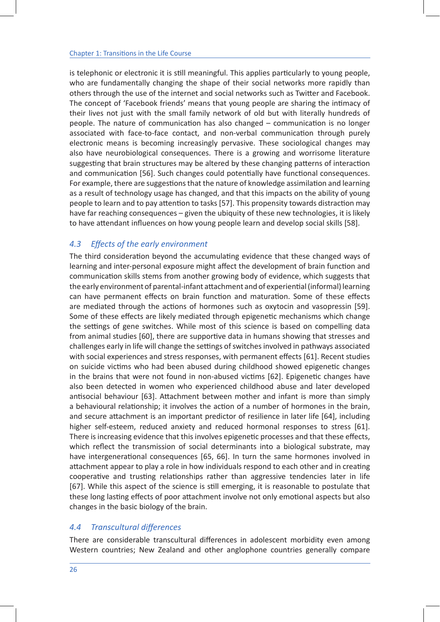is telephonic or electronic it is still meaningful. This applies particularly to young people, who are fundamentally changing the shape of their social networks more rapidly than others through the use of the internet and social networks such as Twitter and Facebook. The concept of 'Facebook friends' means that young people are sharing the intimacy of their lives not just with the small family network of old but with literally hundreds of people. The nature of communication has also changed – communication is no longer associated with face-to-face contact, and non-verbal communication through purely electronic means is becoming increasingly pervasive. These sociological changes may also have neurobiological consequences. There is a growing and worrisome literature suggesting that brain structures may be altered by these changing patterns of interaction and communication [56]. Such changes could potentially have functional consequences. For example, there are suggestions that the nature of knowledge assimilation and learning as a result of technology usage has changed, and that this impacts on the ability of young people to learn and to pay attention to tasks [57]. This propensity towards distraction may have far reaching consequences – given the ubiquity of these new technologies, it is likely to have attendant influences on how young people learn and develop social skills [58].

### *4.3 Effects of the early environment*

The third consideration beyond the accumulating evidence that these changed ways of learning and inter-personal exposure might affect the development of brain function and communication skills stems from another growing body of evidence, which suggests that the early environment of parental-infant attachment and of experiential (informal) learning can have permanent effects on brain function and maturation. Some of these effects are mediated through the actions of hormones such as oxytocin and vasopressin [59]. Some of these effects are likely mediated through epigenetic mechanisms which change the settings of gene switches. While most of this science is based on compelling data from animal studies [60], there are supportive data in humans showing that stresses and challenges early in life will change the settings of switches involved in pathways associated with social experiences and stress responses, with permanent effects [61]. Recent studies on suicide victims who had been abused during childhood showed epigenetic changes in the brains that were not found in non-abused victims [62]. Epigenetic changes have also been detected in women who experienced childhood abuse and later developed antisocial behaviour [63]. Attachment between mother and infant is more than simply a behavioural relationship; it involves the action of a number of hormones in the brain, and secure attachment is an important predictor of resilience in later life [64], including higher self-esteem, reduced anxiety and reduced hormonal responses to stress [61]. There is increasing evidence that this involves epigenetic processes and that these effects, which reflect the transmission of social determinants into a biological substrate, may have intergenerational consequences [65, 66]. In turn the same hormones involved in attachment appear to play a role in how individuals respond to each other and in creating cooperative and trusting relationships rather than aggressive tendencies later in life [67]. While this aspect of the science is still emerging, it is reasonable to postulate that these long lasting effects of poor attachment involve not only emotional aspects but also changes in the basic biology of the brain.

#### *4.4 Transcultural differences*

There are considerable transcultural differences in adolescent morbidity even among Western countries; New Zealand and other anglophone countries generally compare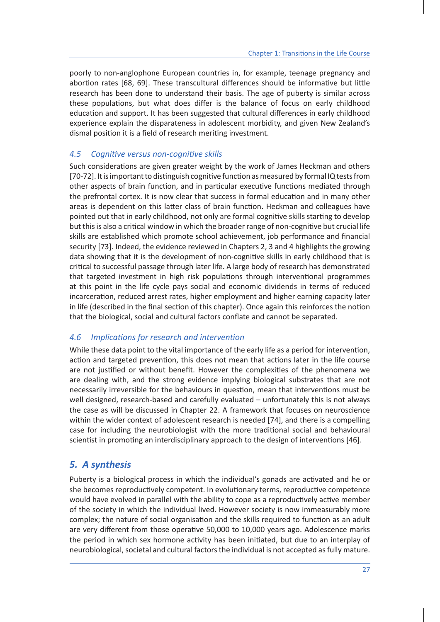poorly to non-anglophone European countries in, for example, teenage pregnancy and abortion rates [68, 69]. These transcultural differences should be informative but little research has been done to understand their basis. The age of puberty is similar across these populations, but what does differ is the balance of focus on early childhood education and support. It has been suggested that cultural differences in early childhood experience explain the disparateness in adolescent morbidity, and given New Zealand's dismal position it is a field of research meriting investment.

#### *4.5 Cognitive versus non-cognitive skills*

Such considerations are given greater weight by the work of James Heckman and others [70-72]. It is important to distinguish cognitive function as measured by formal IQ tests from other aspects of brain function, and in particular executive functions mediated through the prefrontal cortex. It is now clear that success in formal education and in many other areas is dependent on this latter class of brain function. Heckman and colleagues have pointed out that in early childhood, not only are formal cognitive skills starting to develop but this is also a critical window in which the broader range of non-cognitive but crucial life skills are established which promote school achievement, job performance and financial security [73]. Indeed, the evidence reviewed in Chapters 2, 3 and 4 highlights the growing data showing that it is the development of non-cognitive skills in early childhood that is critical to successful passage through later life. A large body of research has demonstrated that targeted investment in high risk populations through interventional programmes at this point in the life cycle pays social and economic dividends in terms of reduced incarceration, reduced arrest rates, higher employment and higher earning capacity later in life (described in the final section of this chapter). Once again this reinforces the notion that the biological, social and cultural factors conflate and cannot be separated.

#### *4.6 Implications for research and intervention*

While these data point to the vital importance of the early life as a period for intervention, action and targeted prevention, this does not mean that actions later in the life course are not justified or without benefit. However the complexities of the phenomena we are dealing with, and the strong evidence implying biological substrates that are not necessarily irreversible for the behaviours in question, mean that interventions must be well designed, research-based and carefully evaluated – unfortunately this is not always the case as will be discussed in Chapter 22. A framework that focuses on neuroscience within the wider context of adolescent research is needed [74], and there is a compelling case for including the neurobiologist with the more traditional social and behavioural scientist in promoting an interdisciplinary approach to the design of interventions [46].

## *5. A synthesis*

Puberty is a biological process in which the individual's gonads are activated and he or she becomes reproductively competent. In evolutionary terms, reproductive competence would have evolved in parallel with the ability to cope as a reproductively active member of the society in which the individual lived. However society is now immeasurably more complex; the nature of social organisation and the skills required to function as an adult are very different from those operative 50,000 to 10,000 years ago. Adolescence marks the period in which sex hormone activity has been initiated, but due to an interplay of neurobiological, societal and cultural factors the individual is not accepted as fully mature.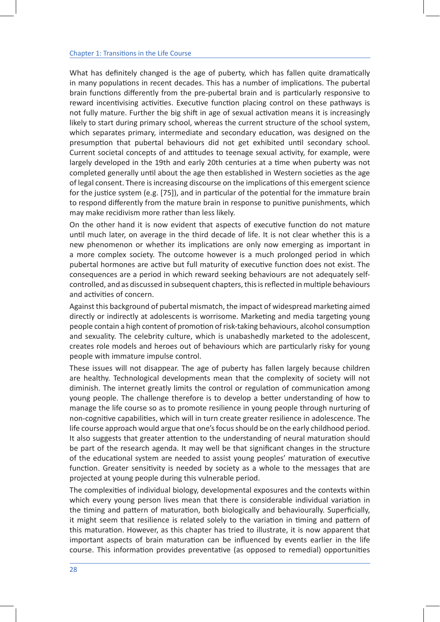What has definitely changed is the age of puberty, which has fallen quite dramatically in many populations in recent decades. This has a number of implications. The pubertal brain functions differently from the pre-pubertal brain and is particularly responsive to reward incentivising activities. Executive function placing control on these pathways is not fully mature. Further the big shift in age of sexual activation means it is increasingly likely to start during primary school, whereas the current structure of the school system, which separates primary, intermediate and secondary education, was designed on the presumption that pubertal behaviours did not get exhibited until secondary school. Current societal concepts of and attitudes to teenage sexual activity, for example, were largely developed in the 19th and early 20th centuries at a time when puberty was not completed generally until about the age then established in Western societies as the age of legal consent. There is increasing discourse on the implications of this emergent science for the justice system (e.g. [75]), and in particular of the potential for the immature brain to respond differently from the mature brain in response to punitive punishments, which may make recidivism more rather than less likely.

On the other hand it is now evident that aspects of executive function do not mature until much later, on average in the third decade of life. It is not clear whether this is a new phenomenon or whether its implications are only now emerging as important in a more complex society. The outcome however is a much prolonged period in which pubertal hormones are active but full maturity of executive function does not exist. The consequences are a period in which reward seeking behaviours are not adequately selfcontrolled, and as discussed in subsequent chapters, this is reflected in multiple behaviours and activities of concern.

Against this background of pubertal mismatch, the impact of widespread marketing aimed directly or indirectly at adolescents is worrisome. Marketing and media targeting young people contain a high content of promotion of risk-taking behaviours, alcohol consumption and sexuality. The celebrity culture, which is unabashedly marketed to the adolescent, creates role models and heroes out of behaviours which are particularly risky for young people with immature impulse control.

These issues will not disappear. The age of puberty has fallen largely because children are healthy. Technological developments mean that the complexity of society will not diminish. The internet greatly limits the control or regulation of communication among young people. The challenge therefore is to develop a better understanding of how to manage the life course so as to promote resilience in young people through nurturing of non-cognitive capabilities, which will in turn create greater resilience in adolescence. The life course approach would argue that one's focus should be on the early childhood period. It also suggests that greater attention to the understanding of neural maturation should be part of the research agenda. It may well be that significant changes in the structure of the educational system are needed to assist young peoples' maturation of executive function. Greater sensitivity is needed by society as a whole to the messages that are projected at young people during this vulnerable period.

The complexities of individual biology, developmental exposures and the contexts within which every young person lives mean that there is considerable individual variation in the timing and pattern of maturation, both biologically and behaviourally. Superficially, it might seem that resilience is related solely to the variation in timing and pattern of this maturation. However, as this chapter has tried to illustrate, it is now apparent that important aspects of brain maturation can be influenced by events earlier in the life course. This information provides preventative (as opposed to remedial) opportunities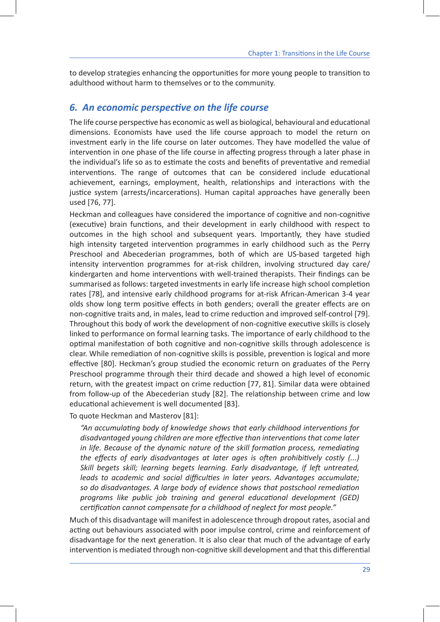to develop strategies enhancing the opportunities for more young people to transition to adulthood without harm to themselves or to the community.

## *6. An economic perspective on the life course*

The life course perspective has economic as well as biological, behavioural and educational dimensions. Economists have used the life course approach to model the return on investment early in the life course on later outcomes. They have modelled the value of intervention in one phase of the life course in affecting progress through a later phase in the individual's life so as to estimate the costs and benefits of preventative and remedial interventions. The range of outcomes that can be considered include educational achievement, earnings, employment, health, relationships and interactions with the justice system (arrests/incarcerations). Human capital approaches have generally been used [76, 77].

Heckman and colleagues have considered the importance of cognitive and non-cognitive (executive) brain functions, and their development in early childhood with respect to outcomes in the high school and subsequent years. Importantly, they have studied high intensity targeted intervention programmes in early childhood such as the Perry Preschool and Abecederian programmes, both of which are US-based targeted high intensity intervention programmes for at-risk children, involving structured day care/ kindergarten and home interventions with well-trained therapists. Their findings can be summarised as follows: targeted investments in early life increase high school completion rates [78], and intensive early childhood programs for at-risk African-American 3-4 year olds show long term positive effects in both genders; overall the greater effects are on non-cognitive traits and, in males, lead to crime reduction and improved self-control [79]. Throughout this body of work the development of non-cognitive executive skills is closely linked to performance on formal learning tasks. The importance of early childhood to the optimal manifestation of both cognitive and non-cognitive skills through adolescence is clear. While remediation of non-cognitive skills is possible, prevention is logical and more effective [80]. Heckman's group studied the economic return on graduates of the Perry Preschool programme through their third decade and showed a high level of economic return, with the greatest impact on crime reduction [77, 81]. Similar data were obtained from follow-up of the Abecederian study [82]. The relationship between crime and low educational achievement is well documented [83].

To quote Heckman and Masterov [81]:

*"An accumulating body of knowledge shows that early childhood interventions for disadvantaged young children are more effective than interventions that come later in life. Because of the dynamic nature of the skill formation process, remediating the effects of early disadvantages at later ages is often prohibitively costly (...) Skill begets skill; learning begets learning. Early disadvantage, if left untreated, leads to academic and social difficulties in later years. Advantages accumulate; so do disadvantages. A large body of evidence shows that postschool remediation programs like public job training and general educational development (GED) certification cannot compensate for a childhood of neglect for most people."*

Much of this disadvantage will manifest in adolescence through dropout rates, asocial and acting out behaviours associated with poor impulse control, crime and reinforcement of disadvantage for the next generation. It is also clear that much of the advantage of early intervention is mediated through non-cognitive skill development and that this differential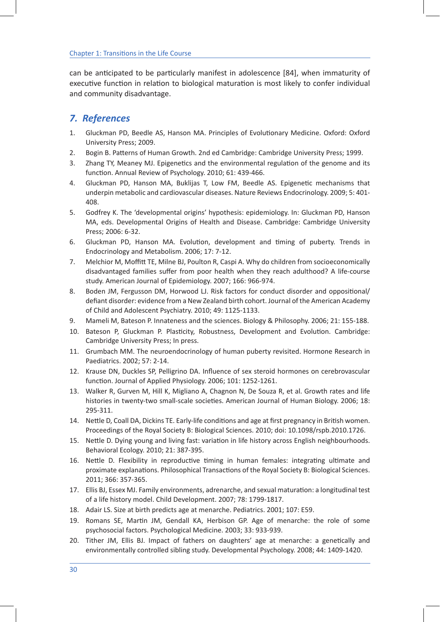can be anticipated to be particularly manifest in adolescence [84], when immaturity of executive function in relation to biological maturation is most likely to confer individual and community disadvantage.

## *7. References*

- 1. Gluckman PD, Beedle AS, Hanson MA. Principles of Evolutionary Medicine. Oxford: Oxford University Press; 2009.
- 2. Bogin B. Patterns of Human Growth. 2nd ed Cambridge: Cambridge University Press; 1999.
- 3. Zhang TY, Meaney MJ. Epigenetics and the environmental regulation of the genome and its function. Annual Review of Psychology. 2010; 61: 439-466.
- 4. Gluckman PD, Hanson MA, Buklijas T, Low FM, Beedle AS. Epigenetic mechanisms that underpin metabolic and cardiovascular diseases. Nature Reviews Endocrinology. 2009; 5: 401- 408.
- 5. Godfrey K. The 'developmental origins' hypothesis: epidemiology. In: Gluckman PD, Hanson MA, eds. Developmental Origins of Health and Disease. Cambridge: Cambridge University Press; 2006: 6-32.
- 6. Gluckman PD, Hanson MA. Evolution, development and timing of puberty. Trends in Endocrinology and Metabolism. 2006; 17: 7-12.
- 7. Melchior M, Moffitt TE, Milne BJ, Poulton R, Caspi A. Why do children from socioeconomically disadvantaged families suffer from poor health when they reach adulthood? A life-course study. American Journal of Epidemiology. 2007; 166: 966-974.
- 8. Boden JM, Fergusson DM, Horwood LJ. Risk factors for conduct disorder and oppositional/ defiant disorder: evidence from a New Zealand birth cohort. Journal of the American Academy of Child and Adolescent Psychiatry. 2010; 49: 1125-1133.
- 9. Mameli M, Bateson P. Innateness and the sciences. Biology & Philosophy. 2006; 21: 155-188.
- 10. Bateson P, Gluckman P. Plasticity, Robustness, Development and Evolution. Cambridge: Cambridge University Press; In press.
- 11. Grumbach MM. The neuroendocrinology of human puberty revisited. Hormone Research in Paediatrics. 2002; 57: 2-14.
- 12. Krause DN, Duckles SP, Pelligrino DA. Influence of sex steroid hormones on cerebrovascular function. Journal of Applied Physiology. 2006; 101: 1252-1261.
- 13. Walker R, Gurven M, Hill K, Migliano A, Chagnon N, De Souza R, et al. Growth rates and life histories in twenty-two small-scale societies. American Journal of Human Biology. 2006; 18: 295-311.
- 14. Nettle D, Coall DA, Dickins TE. Early-life conditions and age at first pregnancy in British women. Proceedings of the Royal Society B: Biological Sciences. 2010; doi: 10.1098/rspb.2010.1726.
- 15. Nettle D. Dying young and living fast: variation in life history across English neighbourhoods. Behavioral Ecology. 2010; 21: 387-395.
- 16. Nettle D. Flexibility in reproductive timing in human females: integrating ultimate and proximate explanations. Philosophical Transactions of the Royal Society B: Biological Sciences. 2011; 366: 357-365.
- 17. Ellis BJ, Essex MJ. Family environments, adrenarche, and sexual maturation: a longitudinal test of a life history model. Child Development. 2007; 78: 1799-1817.
- 18. Adair LS. Size at birth predicts age at menarche. Pediatrics. 2001; 107: E59.
- 19. Romans SE, Martin JM, Gendall KA, Herbison GP. Age of menarche: the role of some psychosocial factors. Psychological Medicine. 2003; 33: 933-939.
- 20. Tither JM, Ellis BJ. Impact of fathers on daughters' age at menarche: a genetically and environmentally controlled sibling study. Developmental Psychology. 2008; 44: 1409-1420.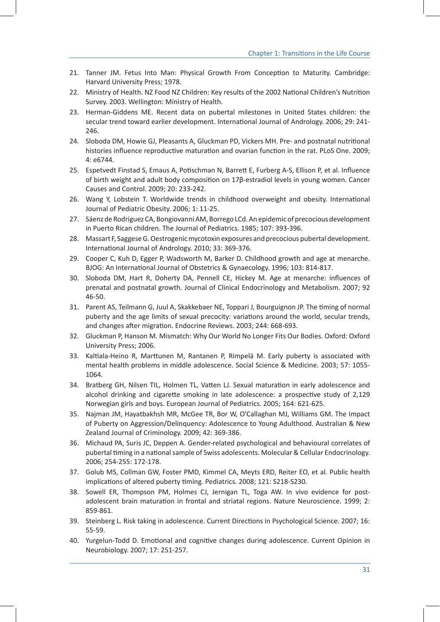- 21. Tanner JM. Fetus Into Man: Physical Growth From Conception to Maturity. Cambridge: Harvard University Press; 1978.
- 22. Ministry of Health. NZ Food NZ Children: Key results of the 2002 National Children's Nutrition Survey. 2003. Wellington: Ministry of Health.
- 23. Herman-Giddens ME. Recent data on pubertal milestones in United States children: the secular trend toward earlier development. International Journal of Andrology. 2006; 29: 241- 246.
- 24. Sloboda DM, Howie GJ, Pleasants A, Gluckman PD, Vickers MH. Pre- and postnatal nutritional histories influence reproductive maturation and ovarian function in the rat. PLoS One. 2009; 4: e6744.
- 25. Espetvedt Finstad S, Emaus A, Potischman N, Barrett E, Furberg A-S, Ellison P, et al. Influence of birth weight and adult body composition on 17β-estradiol levels in young women. Cancer Causes and Control. 2009; 20: 233-242.
- 26. Wang Y, Lobstein T. Worldwide trends in childhood overweight and obesity. International Journal of Pediatric Obesity. 2006; 1: 11-25.
- 27. Sáenz de Rodriguez CA, Bongiovanni AM, Borrego LCd. An epidemic of precocious development in Puerto Rican children. The Journal of Pediatrics. 1985; 107: 393-396.
- 28. Massart F, Saggese G. Oestrogenic mycotoxin exposures and precocious pubertal development. International Journal of Andrology. 2010; 33: 369-376.
- 29. Cooper C, Kuh D, Egger P, Wadsworth M, Barker D. Childhood growth and age at menarche. BJOG: An International Journal of Obstetrics & Gynaecology. 1996; 103: 814-817.
- 30. Sloboda DM, Hart R, Doherty DA, Pennell CE, Hickey M. Age at menarche: influences of prenatal and postnatal growth. Journal of Clinical Endocrinology and Metabolism. 2007; 92 46-50.
- 31. Parent AS, Teilmann G, Juul A, Skakkebaer NE, Toppari J, Bourguignon JP. The timing of normal puberty and the age limits of sexual precocity: variations around the world, secular trends, and changes after migration. Endocrine Reviews. 2003; 244: 668-693.
- 32. Gluckman P, Hanson M. Mismatch: Why Our World No Longer Fits Our Bodies. Oxford: Oxford University Press; 2006.
- 33. Kaltiala-Heino R, Marttunen M, Rantanen P, Rimpelä M. Early puberty is associated with mental health problems in middle adolescence. Social Science & Medicine. 2003; 57: 1055- 1064.
- 34. Bratberg GH, Nilsen TIL, Holmen TL, Vatten LJ. Sexual maturation in early adolescence and alcohol drinking and cigarette smoking in late adolescence: a prospective study of 2,129 Norwegian girls and boys. European Journal of Pediatrics. 2005; 164: 621-625.
- 35. Najman JM, Hayatbakhsh MR, McGee TR, Bor W, O'Callaghan MJ, Williams GM. The Impact of Puberty on Aggression/Delinquency: Adolescence to Young Adulthood. Australian & New Zealand Journal of Criminology. 2009; 42: 369-386.
- 36. Michaud PA, Suris JC, Deppen A. Gender-related psychological and behavioural correlates of pubertal timing in a national sample of Swiss adolescents. Molecular & Cellular Endocrinology. 2006; 254-255: 172-178.
- 37. Golub MS, Collman GW, Foster PMD, Kimmel CA, Meyts ERD, Reiter EO, et al. Public health implications of altered puberty timing. Pediatrics. 2008; 121: S218-S230.
- 38. Sowell ER, Thompson PM, Holmes CJ, Jernigan TL, Toga AW. In vivo evidence for postadolescent brain maturation in frontal and striatal regions. Nature Neuroscience. 1999; 2: 859-861.
- 39. Steinberg L. Risk taking in adolescence. Current Directions in Psychological Science. 2007; 16: 55-59.
- 40. Yurgelun-Todd D. Emotional and cognitive changes during adolescence. Current Opinion in Neurobiology. 2007; 17: 251-257.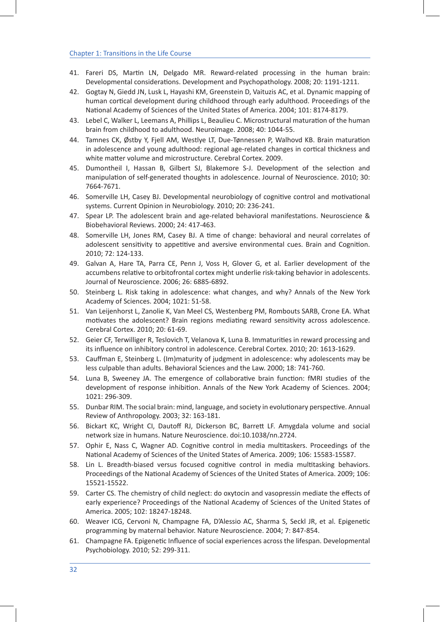- 41. Fareri DS, Martin LN, Delgado MR. Reward-related processing in the human brain: Developmental considerations. Development and Psychopathology. 2008; 20: 1191-1211.
- 42. Gogtay N, Giedd JN, Lusk L, Hayashi KM, Greenstein D, Vaituzis AC, et al. Dynamic mapping of human cortical development during childhood through early adulthood. Proceedings of the National Academy of Sciences of the United States of America. 2004; 101: 8174-8179.
- 43. Lebel C, Walker L, Leemans A, Phillips L, Beaulieu C. Microstructural maturation of the human brain from childhood to adulthood. Neuroimage. 2008; 40: 1044-55.
- 44. Tamnes CK, Østby Y, Fjell AM, Westlye LT, Due-Tønnessen P, Walhovd KB. Brain maturation in adolescence and young adulthood: regional age-related changes in cortical thickness and white matter volume and microstructure. Cerebral Cortex. 2009.
- 45. Dumontheil I, Hassan B, Gilbert SJ, Blakemore S-J. Development of the selection and manipulation of self-generated thoughts in adolescence. Journal of Neuroscience. 2010; 30: 7664-7671.
- 46. Somerville LH, Casey BJ. Developmental neurobiology of cognitive control and motivational systems. Current Opinion in Neurobiology. 2010; 20: 236-241.
- 47. Spear LP. The adolescent brain and age-related behavioral manifestations. Neuroscience & Biobehavioral Reviews. 2000; 24: 417-463.
- 48. Somerville LH, Jones RM, Casey BJ. A time of change: behavioral and neural correlates of adolescent sensitivity to appetitive and aversive environmental cues. Brain and Cognition. 2010; 72: 124-133.
- 49. Galvan A, Hare TA, Parra CE, Penn J, Voss H, Glover G, et al. Earlier development of the accumbens relative to orbitofrontal cortex might underlie risk-taking behavior in adolescents. Journal of Neuroscience. 2006; 26: 6885-6892.
- 50. Steinberg L. Risk taking in adolescence: what changes, and why? Annals of the New York Academy of Sciences. 2004; 1021: 51-58.
- 51. Van Leijenhorst L, Zanolie K, Van Meel CS, Westenberg PM, Rombouts SARB, Crone EA. What motivates the adolescent? Brain regions mediating reward sensitivity across adolescence. Cerebral Cortex. 2010; 20: 61-69.
- 52. Geier CF, Terwilliger R, Teslovich T, Velanova K, Luna B. Immaturities in reward processing and its influence on inhibitory control in adolescence. Cerebral Cortex. 2010; 20: 1613-1629.
- 53. Cauffman E, Steinberg L. (Im)maturity of judgment in adolescence: why adolescents may be less culpable than adults. Behavioral Sciences and the Law. 2000; 18: 741-760.
- 54. Luna B, Sweeney JA. The emergence of collaborative brain function: fMRI studies of the development of response inhibition. Annals of the New York Academy of Sciences. 2004; 1021: 296-309.
- 55. Dunbar RIM. The social brain: mind, language, and society in evolutionary perspective. Annual Review of Anthropology. 2003; 32: 163-181.
- 56. Bickart KC, Wright CI, Dautoff RJ, Dickerson BC, Barrett LF. Amygdala volume and social network size in humans. Nature Neuroscience. doi:10.1038/nn.2724.
- 57. Ophir E, Nass C, Wagner AD. Cognitive control in media multitaskers. Proceedings of the National Academy of Sciences of the United States of America. 2009; 106: 15583-15587.
- 58. Lin L. Breadth-biased versus focused cognitive control in media multitasking behaviors. Proceedings of the National Academy of Sciences of the United States of America. 2009; 106: 15521-15522.
- 59. Carter CS. The chemistry of child neglect: do oxytocin and vasopressin mediate the effects of early experience? Proceedings of the National Academy of Sciences of the United States of America. 2005; 102: 18247-18248.
- 60. Weaver ICG, Cervoni N, Champagne FA, D'Alessio AC, Sharma S, Seckl JR, et al. Epigenetic programming by maternal behavior. Nature Neuroscience. 2004; 7: 847-854.
- 61. Champagne FA. Epigenetic Influence of social experiences across the lifespan. Developmental Psychobiology. 2010; 52: 299-311.